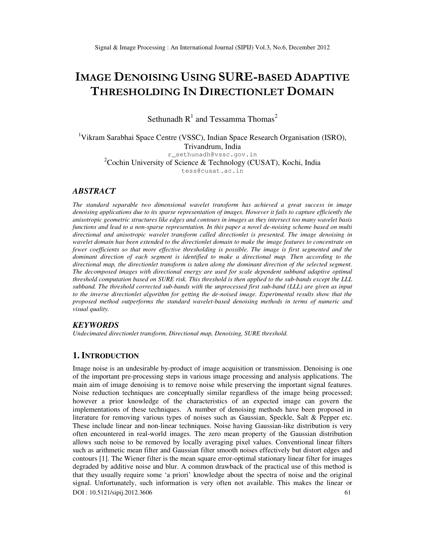# IMAGE DENOISING USING SURE-BASED ADAPTIVE THRESHOLDING IN DIRECTIONLET DOMAIN

Sethunadh  $R^1$  and Tessamma Thomas<sup>2</sup>

<sup>1</sup>Vikram Sarabhai Space Centre (VSSC), Indian Space Research Organisation (ISRO), Trivandrum, India r\_sethunadh@vssc.gov.in <sup>2</sup>Cochin University of Science & Technology (CUSAT), Kochi, India

tess@cusat.ac.in

## *ABSTRACT*

*The standard separable two dimensional wavelet transform has achieved a great success in image denoising applications due to its sparse representation of images. However it fails to capture efficiently the anisotropic geometric structures like edges and contours in images as they intersect too many wavelet basis functions and lead to a non-sparse representation. In this paper a novel de-noising scheme based on multi directional and anisotropic wavelet transform called directionlet is presented. The image denoising in wavelet domain has been extended to the directionlet domain to make the image features to concentrate on fewer coefficients so that more effective thresholding is possible. The image is first segmented and the dominant direction of each segment is identified to make a directional map. Then according to the directional map, the directionlet transform is taken along the dominant direction of the selected segment. The decomposed images with directional energy are used for scale dependent subband adaptive optimal threshold computation based on SURE risk. This threshold is then applied to the sub-bands except the LLL subband. The threshold corrected sub-bands with the unprocessed first sub-band (LLL) are given as input to the inverse directionlet algorithm for getting the de-noised image. Experimental results show that the proposed method outperforms the standard wavelet-based denoising methods in terms of numeric and visual quality.* 

## *KEYWORDS*

*Undecimated directionlet transform, Directional map, Denoising, SURE threshold.* 

## **1. INTRODUCTION**

DOI : 10.5121/sipij.2012.3606 61 Image noise is an undesirable by-product of image acquisition or transmission. Denoising is one of the important pre-processing steps in various image processing and analysis applications. The main aim of image denoising is to remove noise while preserving the important signal features. Noise reduction techniques are conceptually similar regardless of the image being processed; however a prior knowledge of the characteristics of an expected image can govern the implementations of these techniques. A number of denoising methods have been proposed in literature for removing various types of noises such as Gaussian, Speckle, Salt & Pepper etc. These include linear and non-linear techniques. Noise having Gaussian-like distribution is very often encountered in real-world images. The zero mean property of the Gaussian distribution allows such noise to be removed by locally averaging pixel values. Conventional linear filters such as arithmetic mean filter and Gaussian filter smooth noises effectively but distort edges and contours [1]. The Wiener filter is the mean square error-optimal stationary linear filter for images degraded by additive noise and blur. A common drawback of the practical use of this method is that they usually require some 'a priori' knowledge about the spectra of noise and the original signal. Unfortunately, such information is very often not available. This makes the linear or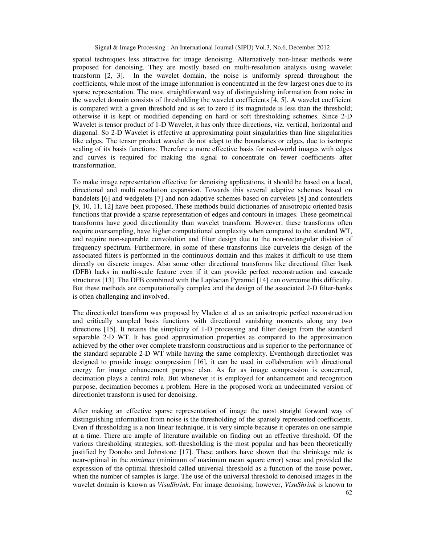spatial techniques less attractive for image denoising. Alternatively non-linear methods were proposed for denoising. They are mostly based on multi-resolution analysis using wavelet transform [2, 3]. In the wavelet domain, the noise is uniformly spread throughout the coefficients, while most of the image information is concentrated in the few largest ones due to its sparse representation. The most straightforward way of distinguishing information from noise in the wavelet domain consists of thresholding the wavelet coefficients [4, 5]. A wavelet coefficient is compared with a given threshold and is set to zero if its magnitude is less than the threshold; otherwise it is kept or modified depending on hard or soft thresholding schemes. Since 2-D Wavelet is tensor product of 1-D Wavelet, it has only three directions, viz. vertical, horizontal and diagonal. So 2-D Wavelet is effective at approximating point singularities than line singularities like edges. The tensor product wavelet do not adapt to the boundaries or edges, due to isotropic scaling of its basis functions. Therefore a more effective basis for real-world images with edges and curves is required for making the signal to concentrate on fewer coefficients after transformation.

To make image representation effective for denoising applications, it should be based on a local, directional and multi resolution expansion. Towards this several adaptive schemes based on bandelets [6] and wedgelets [7] and non-adaptive schemes based on curvelets [8] and contourlets [9, 10, 11, 12] have been proposed. These methods build dictionaries of anisotropic oriented basis functions that provide a sparse representation of edges and contours in images. These geometrical transforms have good directionality than wavelet transform. However, these transforms often require oversampling, have higher computational complexity when compared to the standard WT, and require non-separable convolution and filter design due to the non-rectangular division of frequency spectrum. Furthermore, in some of these transforms like curvelets the design of the associated filters is performed in the continuous domain and this makes it difficult to use them directly on discrete images. Also some other directional transforms like directional filter bank (DFB) lacks in multi-scale feature even if it can provide perfect reconstruction and cascade structures [13]. The DFB combined with the Laplacian Pyramid [14] can overcome this difficulty. But these methods are computationally complex and the design of the associated 2-D filter-banks is often challenging and involved.

The directionlet transform was proposed by Vladen et al as an anisotropic perfect reconstruction and critically sampled basis functions with directional vanishing moments along any two directions [15]. It retains the simplicity of 1-D processing and filter design from the standard separable 2-D WT. It has good approximation properties as compared to the approximation achieved by the other over complete transform constructions and is superior to the performance of the standard separable 2-D WT while having the same complexity. Eventhough directionlet was designed to provide image compression [16], it can be used in collaboration with directional energy for image enhancement purpose also. As far as image compression is concerned, decimation plays a central role. But whenever it is employed for enhancement and recognition purpose, decimation becomes a problem. Here in the proposed work an undecimated version of directionlet transform is used for denoising.

After making an effective sparse representation of image the most straight forward way of distinguishing information from noise is the thresholding of the sparsely represented coefficients. Even if thresholding is a non linear technique, it is very simple because it operates on one sample at a time. There are ample of literature available on finding out an effective threshold. Of the various thresholding strategies, soft-thresholding is the most popular and has been theoretically justified by Donoho and Johnstone [17]. These authors have shown that the shrinkage rule is near-optimal in the *minimax* (minimum of maximum mean square error) sense and provided the expression of the optimal threshold called universal threshold as a function of the noise power, when the number of samples is large. The use of the universal threshold to denoised images in the wavelet domain is known as *VisuShrink*. For image denoising, however, *VisuShrink* is known to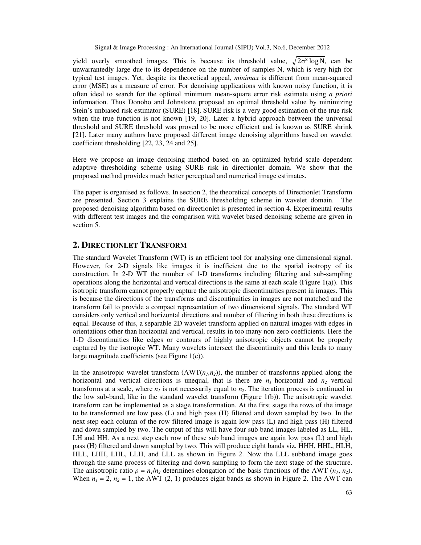yield overly smoothed images. This is because its threshold value,  $\sqrt{2\sigma^2 \log N}$ , can be unwarrantedly large due to its dependence on the number of samples N, which is very high for typical test images. Yet, despite its theoretical appeal, *minimax* is different from mean-squared error (MSE) as a measure of error. For denoising applications with known noisy function, it is often ideal to search for the optimal minimum mean-square error risk estimate using *a priori* information. Thus Donoho and Johnstone proposed an optimal threshold value by minimizing Stein's unbiased risk estimator (SURE) [18]. SURE risk is a very good estimation of the true risk when the true function is not known [19, 20]. Later a hybrid approach between the universal threshold and SURE threshold was proved to be more efficient and is known as SURE shrink [21]. Later many authors have proposed different image denoising algorithms based on wavelet coefficient thresholding [22, 23, 24 and 25].

Here we propose an image denoising method based on an optimized hybrid scale dependent adaptive thresholding scheme using SURE risk in directionlet domain. We show that the proposed method provides much better perceptual and numerical image estimates.

The paper is organised as follows. In section 2, the theoretical concepts of Directionlet Transform are presented. Section 3 explains the SURE thresholding scheme in wavelet domain. The proposed denoising algorithm based on directionlet is presented in section 4. Experimental results with different test images and the comparison with wavelet based denoising scheme are given in section 5.

### **2. DIRECTIONLET TRANSFORM**

The standard Wavelet Transform (WT) is an efficient tool for analysing one dimensional signal. However, for 2-D signals like images it is inefficient due to the spatial isotropy of its construction. In 2-D WT the number of 1-D transforms including filtering and sub-sampling operations along the horizontal and vertical directions is the same at each scale (Figure 1(a)). This isotropic transform cannot properly capture the anisotropic discontinuities present in images. This is because the directions of the transforms and discontinuities in images are not matched and the transform fail to provide a compact representation of two dimensional signals. The standard WT considers only vertical and horizontal directions and number of filtering in both these directions is equal. Because of this, a separable 2D wavelet transform applied on natural images with edges in orientations other than horizontal and vertical, results in too many non-zero coefficients. Here the 1-D discontinuities like edges or contours of highly anisotropic objects cannot be properly captured by the isotropic WT. Many wavelets intersect the discontinuity and this leads to many large magnitude coefficients (see Figure 1(c)).

In the anisotropic wavelet transform  $(AWT(n<sub>1</sub>,n<sub>2</sub>))$ , the number of transforms applied along the horizontal and vertical directions is unequal, that is there are  $n_l$  horizontal and  $n_2$  vertical transforms at a scale, where  $n_l$  is not necessarily equal to  $n_2$ . The iteration process is continued in the low sub-band, like in the standard wavelet transform (Figure 1(b)). The anisotropic wavelet transform can be implemented as a stage transformation. At the first stage the rows of the image to be transformed are low pass (L) and high pass (H) filtered and down sampled by two. In the next step each column of the row filtered image is again low pass (L) and high pass (H) filtered and down sampled by two. The output of this will have four sub band images labeled as LL, HL, LH and HH. As a next step each row of these sub band images are again low pass (L) and high pass (H) filtered and down sampled by two. This will produce eight bands viz. HHH, HHL, HLH, HLL, LHH, LHL, LLH, and LLL as shown in Figure 2. Now the LLL subband image goes through the same process of filtering and down sampling to form the next stage of the structure. The anisotropic ratio  $\rho = n_1/n_2$  determines elongation of the basis functions of the AWT  $(n_1, n_2)$ . When  $n_1 = 2$ ,  $n_2 = 1$ , the AWT (2, 1) produces eight bands as shown in Figure 2. The AWT can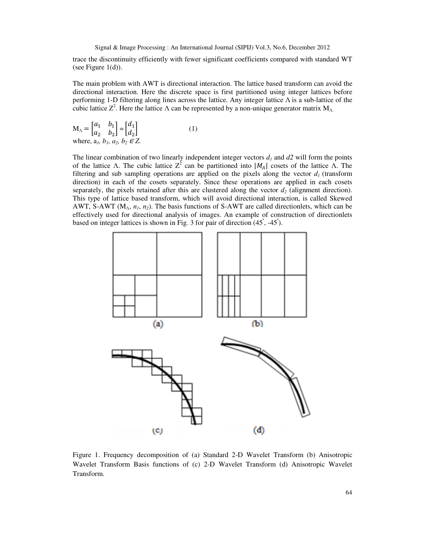trace the discontinuity efficiently with fewer significant coefficients compared with standard WT (see Figure  $1(d)$ ).

The main problem with AWT is directional interaction. The lattice based transform can avoid the directional interaction. Here the discrete space is first partitioned using integer lattices before performing 1-D filtering along lines across the lattice. Any integer lattice  $\Lambda$  is a sub-lattice of the cubic lattice  $Z^2$ . Here the lattice  $\Lambda$  can be represented by a non-unique generator matrix  $M_{\Lambda}$ .

$$
M_{\Lambda} = \begin{bmatrix} a_1 & b_1 \\ a_2 & b_2 \end{bmatrix} = \begin{bmatrix} d_1 \\ d_2 \end{bmatrix}
$$
  
where,  $a_1, b_1, a_2, b_2 \in Z$ . (1)

The linear combination of two linearly independent integer vectors  $d<sub>l</sub>$  and  $d<sub>2</sub>$  will form the points of the lattice  $\Lambda$ . The cubic lattice  $Z^2$  can be partitioned into  $|M_A|$  cosets of the lattice  $\Lambda$ . The filtering and sub sampling operations are applied on the pixels along the vector  $d_I$  (transform direction) in each of the cosets separately. Since these operations are applied in each cosets separately, the pixels retained after this are clustered along the vector  $d_2$  (alignment direction). This type of lattice based transform, which will avoid directional interaction, is called Skewed AWT, S-AWT ( $M_{\Lambda}$ ,  $n_1$ ,  $n_2$ ). The basis functions of S-AWT are called directionlets, which can be effectively used for directional analysis of images. An example of construction of directionlets based on integer lattices is shown in Fig. 3 for pair of direction  $(45\degree, 45\degree)$ .



Figure 1. Frequency decomposition of (a) Standard 2-D Wavelet Transform (b) Anisotropic Wavelet Transform Basis functions of (c) 2-D Wavelet Transform (d) Anisotropic Wavelet Transform.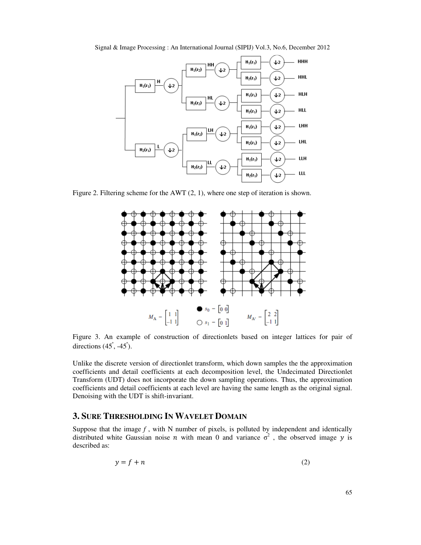

Signal & Image Processing : An International Journal (SIPIJ) Vol.3, No.6, December 2012

Figure 2. Filtering scheme for the AWT (2, 1), where one step of iteration is shown.



Figure 3. An example of construction of directionlets based on integer lattices for pair of directions  $(45^\circ, -45^\circ)$ .

Unlike the discrete version of directionlet transform, which down samples the the approximation coefficients and detail coefficients at each decomposition level, the Undecimated Directionlet Transform (UDT) does not incorporate the down sampling operations. Thus, the approximation coefficients and detail coefficients at each level are having the same length as the original signal. Denoising with the UDT is shift-invariant.

# **3. SURE THRESHOLDING IN WAVELET DOMAIN**

Suppose that the image  $f$ , with  $N$  number of pixels, is polluted by independent and identically distributed white Gaussian noise *n* with mean 0 and variance  $\sigma^2$ , the observed image *y* is described as:

$$
y = f + n \tag{2}
$$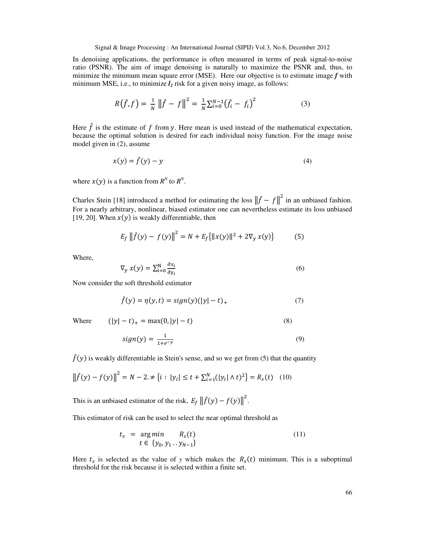In denoising applications, the performance is often measured in terms of peak signal-to-noise ratio (PSNR). The aim of image denoising is naturally to maximize the PSNR and, thus, to minimize the minimum mean square error (MSE). Here our objective is to estimate image *f* with minimum MSE, i.e., to minimize  $l_2$  risk for a given noisy image, as follows:

$$
R(\hat{f}, f) = \frac{1}{N} \left\| \hat{f} - f \right\|^2 = \frac{1}{N} \sum_{i=0}^{N-1} (\hat{f}_i - f_i)^2
$$
 (3)

Here  $\hat{f}$  is the estimate of  $f$  from  $y$ . Here mean is used instead of the mathematical expectation, because the optimal solution is desired for each individual noisy function. For the image noise model given in (2), assume

$$
x(y) = \hat{f}(y) - y \tag{4}
$$

where  $x(y)$  is a function from  $R^N$  to  $R^N$ .

Charles Stein [18] introduced a method for estimating the loss  $||f - f||^2$  in an unbiased fashion. For a nearly arbitrary, nonlinear, biased estimator one can nevertheless estimate its loss unbiased [19, 20]. When  $x(y)$  is weakly differentiable, then

$$
E_f \left\| \hat{f}(y) - f(y) \right\|^2 = N + E_f \{ \|x(y)\|^2 + 2\nabla_y x(y) \} \tag{5}
$$

Where,

$$
\nabla_{\mathbf{y}}\,\mathbf{x}(\mathbf{y}) = \sum_{i=0}^{N} \frac{\partial x_i}{\partial y_i} \tag{6}
$$

Now consider the soft threshold estimator

$$
\hat{f}(y) = \eta(y, t) = sign(y)(|y| - t)_{+}
$$
\n(7)

Where 
$$
(|y| - t)_+ = \max(0, |y| - t)
$$
 (8)

$$
sign(y) = \frac{1}{1 + e^{-y}}\tag{9}
$$

 $\hat{f}(y)$  is weakly differentiable in Stein's sense, and so we get from (5) that the quantity

$$
\left\|\hat{f}(y) - f(y)\right\|^2 = N - 2 \neq \left\{i : |y_i| \le t + \sum_{i=1}^N (|y_i| \wedge t)^2\right\} = R_s(t) \quad (10)
$$

This is an unbiased estimator of the risk,  $E_f \left\| \hat{f}(y) - f(y) \right\|^2$ .

This estimator of risk can be used to select the near optimal threshold as

$$
t_s = \arg \min_{t \in \{y_0, y_1 \dots y_{N-1}\}} R_s(t) \tag{11}
$$

Here  $t_s$  is selected as the value of *y* which makes the  $R_s(t)$  minimum. This is a suboptimal threshold for the risk because it is selected within a finite set.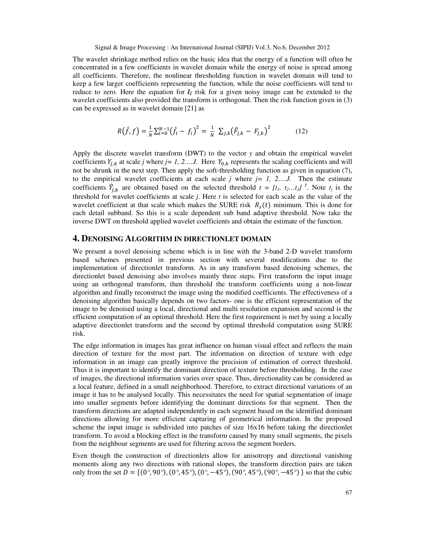The wavelet shrinkage method relies on the basic idea that the energy of a function will often be concentrated in a few coefficients in wavelet domain while the energy of noise is spread among all coefficients. Therefore, the nonlinear thresholding function in wavelet domain will tend to keep a few larger coefficients representing the function, while the noise coefficients will tend to reduce to zero. Here the equation for  $l_2$  risk for a given noisy image can be extended to the wavelet coefficients also provided the transform is orthogonal. Then the risk function given in (3) can be expressed as in wavelet domain [21] as

$$
R(\hat{f}, f) = \frac{1}{N} \sum_{i=0}^{N-1} (\hat{f}_i - f_i)^2 = \frac{1}{N} \sum_{j,k} (\hat{F}_{j,k} - F_{j,k})^2
$$
 (12)

Apply the discrete wavelet transform (DWT) to the vector *y* and obtain the empirical wavelet coefficients  $Y_{j,k}$  at scale *j* where *j*= 1, 2....*J*. Here  $Y_{0,k}$  represents the scaling coefficients and will not be shrunk in the next step. Then apply the soft-thresholding function as given in equation (7), to the empirical wavelet coefficients at each scale  $j$  where  $j = 1, 2, \ldots, J$ . Then the estimate coefficients  $\hat{Y}_{j,k}$  are obtained based on the selected threshold  $t = [t_1, t_2...t_J]$ <sup>T</sup>. Note  $t_j$  is the threshold for wavelet coefficients at scale *j*. Here *t* is selected for each scale as the value of the wavelet coefficient at that scale which makes the SURE risk  $R_s(t)$  minimum. This is done for each detail subband. So this is a scale dependent sub band adaptive threshold. Now take the inverse DWT on threshold applied wavelet coefficients and obtain the estimate of the function.

## **4. DENOISING ALGORITHM IN DIRECTIONLET DOMAIN**

We present a novel denoising scheme which is in line with the 3-band 2-D wavelet transform based schemes presented in previous section with several modifications due to the implementation of directionlet transform. As in any transform based denoising schemes, the directionlet based denoising also involves mainly three steps. First transform the input image using an orthogonal transform, then threshold the transform coefficients using a non-linear algorithm and finally reconstruct the image using the modified coefficients. The effectiveness of a denoising algorithm basically depends on two factors- one is the efficient representation of the image to be denoised using a local, directional and multi resolution expansion and second is the efficient computation of an optimal threshold. Here the first requirement is met by using a locally adaptive directionlet transform and the second by optimal threshold computation using SURE risk.

The edge information in images has great influence on human visual effect and reflects the main direction of texture for the most part. The information on direction of texture with edge information in an image can greatly improve the precision of estimation of correct threshold. Thus it is important to identify the dominant direction of texture before thresholding. In the case of images, the directional information varies over space. Thus, directionality can be considered as a local feature, defined in a small neighborhood. Therefore, to extract directional variations of an image it has to be analysed locally. This necessitates the need for spatial segmentation of image into smaller segments before identifying the dominant directions for that segment. Then the transform directions are adapted independently in each segment based on the identified dominant directions allowing for more efficient capturing of geometrical information. In the proposed scheme the input image is subdivided into patches of size 16x16 before taking the directionlet transform. To avoid a blocking effect in the transform caused by many small segments, the pixels from the neighbour segments are used for filtering across the segment borders.

Even though the construction of directionlets allow for anisotropy and directional vanishing moments along any two directions with rational slopes, the transform direction pairs are taken only from the set  $D = \{(0^\circ, 90^\circ), (0^\circ, 45^\circ), (0^\circ, -45^\circ), (90^\circ, 45^\circ), (90^\circ, -45^\circ)\}\$  so that the cubic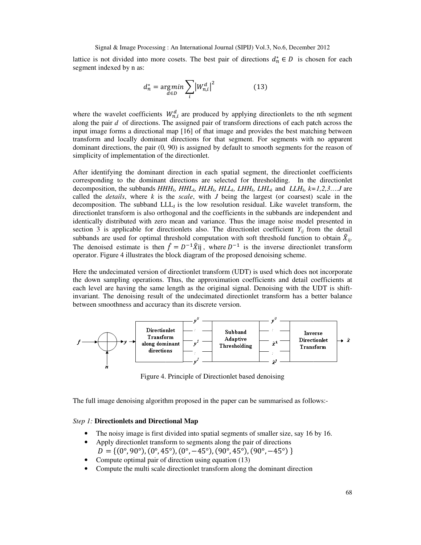lattice is not divided into more cosets. The best pair of directions  $d_n^* \in D$  is chosen for each segment indexed by n as:

$$
d_n^* = \underset{d \in D}{\text{argmin}} \sum_i \left| W_{n,i}^d \right|^2 \tag{13}
$$

where the wavelet coefficients  $W_{n,i}^d$  are produced by applying directionlets to the nth segment along the pair  $d$  of directions. The assigned pair of transform directions of each patch across the input image forms a d along the pair *d* of directions. The assigned pair of transform directions of each patch across the input image forms a directional map [16] of that image and provides the best matching between transform and locally dominant directions for that segment. For segments with no dominant directions, the pair (0*,*  90) is assigned by default to smooth segments for the reason of simplicity of implementation of the directionlet.

After identifying the dominant direction in each spatial segment, the directionlet coefficients corresponding to the dominant directions are selected for thresholding. In the directionlet dominant directions, the pair (0, 90) is assigned by default to smooth segments for the reason of simplicity of implementation of the directionlet.<br>After identifying the dominant direction in each spatial segment, the dir called the *details*, where  $k$  is the *scale*, with  $J$  being the largest (or coarsest) scale in the decomposition. The subband LLL<sub>J</sub> is the low resolution residual. Like wavelet transform, the directionlet transform is also orthogonal and the coefficients in the subbands are independent and identically distributed with zero mean and variance. Thus the image noise model presented in called the *details*, where *k* is the *scale*, with *J* being the largest (or coarsest) scale in the decomposition. The subband LLL<sub>J</sub> is the low resolution residual. Like wavelet transform, the directionlet transform is subbands are used for optimal threshold computation with soft threshold function to obtain  $\hat{X}_{ij}$ . The denoised estimate is then  $\hat{f} = D^{-1}\hat{X}$ ij, where  $D^{-1}$  is the inverse directionlet transform operator. Figure 4 illustrates the block diagram of the proposed denoising scheme. Signal & Image Processing - An International Journal (SIPII) Vol.3, No.6, December 2012<br>
signal & Image Procession, The best pair of directions  $d_n^2 \in D$  is chosen for each<br>
indexed by a as:<br>  $d_n^2 = \arg \min_{\mathbf{g} \in \mathbb{N}} \sum_{n$ 

Here the undecimated version of directionlet transform (UDT) is used which does not incorporate the down sampling operations. Thus, the approximation coefficients and detail coefficients at the down sampling operations. Thus, the approximation coefficients and detail coefficients a each level are having the same length as the original signal. Denoising with the UDT is shift invariant. The denoising result of the undecimated directionlet transform has a better balance between smoothness and accuracy than its discrete version. et transform (UDT) is used which does not incorporate<br>approximation coefficients and detail coefficients at<br>the original signal. Denoising with the UDT is shift-



Figure 4. Principle of Directionlet based den

The full image denoising algorithm proposed in the paper can be summarised as follows:-

#### *Step 1:* **Directionlets and Directional Map**

- The noisy image is first divided into spatial segments of smaller size, say 16 by 16.
- Apply directionlet transform to segments along the pair of directions  $D = \{(0, 90\degree), (0, 45\degree), (0, -45\degree), (90\degree, 45\degree), (90\degree, -45\degree)\}$
- Compute optimal pair of direction using equation (13)
- Compute the multi scale directionlet transform along the dominant direction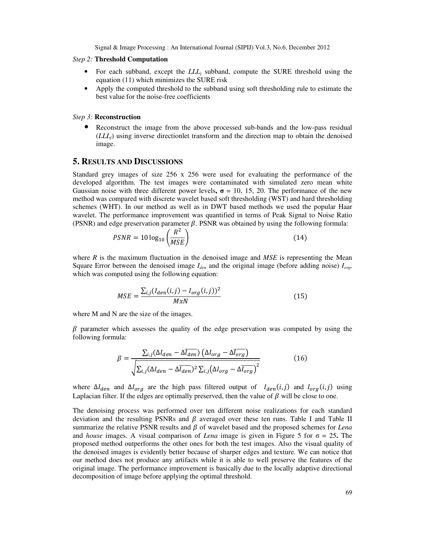#### *Step 2:* **Threshold Computation**

- For each subband, except the  $LLL_j$  subband, compute the SURE threshold using the equation (11) which minimizes the SURE risk
- Apply the computed threshold to the subband using soft thresholding rule to estimate the best value for the noise-free coefficients

## *Step 3:* **Reconstruction**

• Reconstruct the image from the above processed sub-bands and the low-pass residual (*LLLj*) using inverse directionlet transform and the direction map to obtain the denoised image.

#### **5. RESULTS AND DISCUSSIONS**

Standard grey images of size 256 x 256 were used for evaluating the performance of the developed algorithm. The test images were contaminated with simulated zero mean white Gaussian noise with three different power levels,  $\sigma = 10$ , 15, 20. The performance of the new method was compared with discrete wavelet based soft thresholding (WST) and hard thresholding schemes (WHT). In our method as well as in DWT based methods we used the popular Haar wavelet. The performance improvement was quantified in terms of Peak Signal to Noise Ratio (PSNR) and edge preservation parameter  $\beta$ . PSNR was obtained by using the following formula:

$$
PSNR = 10 \log_{10} \left( \frac{R^2}{MSE} \right) \tag{14}
$$

where *R* is the maximum fluctuation in the denoised image and *MSE* is representing the Mean Square Error between the denoised image *Iden* and the original image (before adding noise) *Iorg,*  which was computed using the following equation:

$$
MSE = \frac{\sum_{i,j} (I_{den}(i,j) - I_{org}(i,j))^2}{MxN}
$$
(15)

where M and N are the size of the images.

 $\beta$  parameter which assesses the quality of the edge preservation was computed by using the following formula:

$$
\beta = \frac{\sum_{i,j} (\Delta I_{den} - \Delta \overline{I_{den}}) (\Delta I_{org} - \Delta \overline{I_{org}})}{\sqrt{\sum_{i,j} (\Delta I_{den} - \Delta \overline{I_{den}})^2 \sum_{i,j} (\Delta I_{org} - \Delta \overline{I_{org}})^2}}
$$
(16)

where  $\Delta I_{den}$  and  $\Delta I_{org}$  are the high pass filtered output of  $I_{den}(i, j)$  and  $I_{org}(i, j)$  using Laplacian filter. If the edges are optimally preserved, then the value of  $\beta$  will be close to one.

The denoising process was performed over ten different noise realizations for each standard deviation and the resulting PSNRs and  $\beta$  averaged over these ten runs. Table I and Table II summarize the relative PSNR results and  $\beta$  of wavelet based and the proposed schemes for *Lena* and *house* images. A visual comparison of *Lena* image is given in Figure 5 for  $\sigma = 25$ . The proposed method outperforms the other ones for both the test images. Also the visual quality of the denoised images is evidently better because of sharper edges and texture. We can notice that our method does not produce any artifacts while it is able to well preserve the features of the original image. The performance improvement is basically due to the locally adaptive directional decomposition of image before applying the optimal threshold.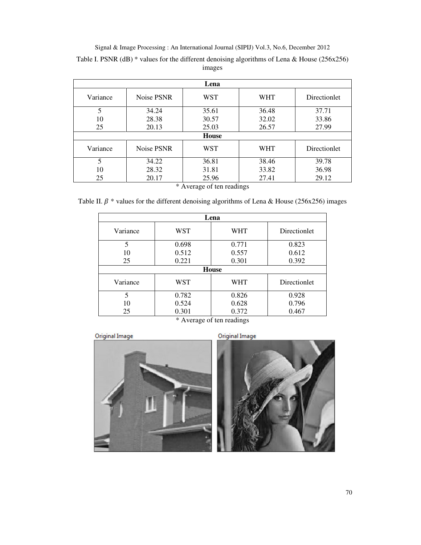| Table I. PSNR (dB) $*$ values for the different denoising algorithms of Lena & House (256x256) |
|------------------------------------------------------------------------------------------------|
| <i>images</i>                                                                                  |

| Lena         |                        |                        |       |                     |  |  |
|--------------|------------------------|------------------------|-------|---------------------|--|--|
| Variance     | Noise PSNR             | <b>WST</b>             | WHT   | Directionlet        |  |  |
| 5            | 34.24                  | 35.61                  | 36.48 | 37.71               |  |  |
| 10           | 28.38                  | 30.57                  | 32.02 | 33.86               |  |  |
| 25           | 20.13                  | 25.03                  | 26.57 | 27.99               |  |  |
| <b>House</b> |                        |                        |       |                     |  |  |
| Variance     | Noise PSNR             | <b>WST</b>             | WHT   | <b>Directionlet</b> |  |  |
| 5            | 34.22                  | 36.81                  | 38.46 | 39.78               |  |  |
| 10           | 28.32                  | 31.81                  | 33.82 | 36.98               |  |  |
| 25           | 20.17<br>$\sim$ $\sim$ | 25.96<br>$\sim$ $\sim$ | 27.41 | 29.12               |  |  |

\* Average of ten readings

Table II.  $\beta$  \* values for the different denoising algorithms of Lena & House (256x256) images

| Lena         |       |            |              |  |  |  |
|--------------|-------|------------|--------------|--|--|--|
| Variance     | WST   | <b>WHT</b> | Directionlet |  |  |  |
| 5            | 0.698 | 0.771      | 0.823        |  |  |  |
| 10           | 0.512 | 0.557      | 0.612        |  |  |  |
| 25           | 0.221 | 0.301      | 0.392        |  |  |  |
| <b>House</b> |       |            |              |  |  |  |
| Variance     | WST   | <b>WHT</b> | Directionlet |  |  |  |
| 5            | 0.782 | 0.826      | 0.928        |  |  |  |
| 10           | 0.524 | 0.628      | 0.796        |  |  |  |
| 25           | 0.301 | 0.372      | 0.467        |  |  |  |

\* Average of ten readings



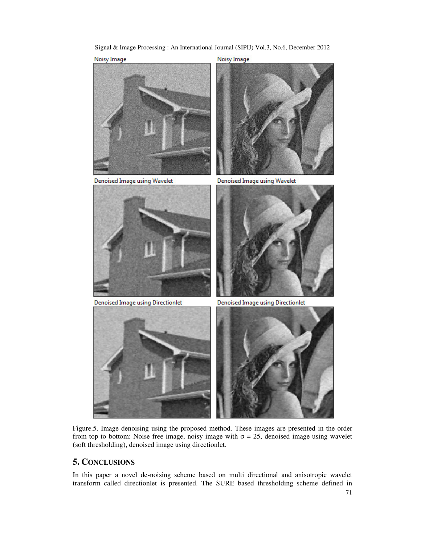



Denoised Image using Wavelet



**Denoised Image using Directionlet** 





Denoised Image using Wavelet



**Denoised Image using Directionlet** 



Figure.5. Image denoising using the proposed method. These images are presented in the order from top to bottom: Noise free image, noisy image with  $\sigma = 25$ , denoised image using wavelet (soft thresholding), denoised image using directionlet.

# **5. CONCLUSIONS**

In this paper a novel de-noising scheme based on multi directional and anisotropic wavelet transform called directionlet is presented. The SURE based thresholding scheme defined in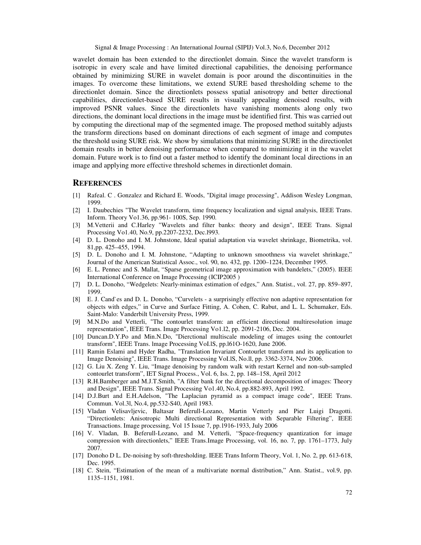wavelet domain has been extended to the directionlet domain. Since the wavelet transform is isotropic in every scale and have limited directional capabilities, the denoising performance obtained by minimizing SURE in wavelet domain is poor around the discontinuities in the images. To overcome these limitations, we extend SURE based thresholding scheme to the directionlet domain. Since the directionlets possess spatial anisotropy and better directional capabilities, directionlet-based SURE results in visually appealing denoised results, with improved PSNR values. Since the directionlets have vanishing moments along only two directions, the dominant local directions in the image must be identified first. This was carried out by computing the directional map of the segmented image. The proposed method suitably adjusts the transform directions based on dominant directions of each segment of image and computes the threshold using SURE risk. We show by simulations that minimizing SURE in the directionlet domain results in better denoising performance when compared to minimizing it in the wavelet domain. Future work is to find out a faster method to identify the dominant local directions in an image and applying more effective threshold schemes in directionlet domain.

#### **REFERENCES**

- [1] Rafeal. C . Gonzalez and Richard E. Woods, "Digital image processing", Addison Wesley Longman, 1999.
- [2] I. Daubechies "The Wavelet transform, time frequency localization and signal analysis, IEEE Trans. Inform. Theory Vo1.36, pp.961- 100S, Sep. 1990.
- [3] M.Vetterii and C.Harley "Wavelets and filter banks: theory and design", IEEE Trans. Signal Processing Vo1.40, No.9, pp.2207-2232, Dec.l993.
- [4] D. L. Donoho and I. M. Johnstone, Ideal spatial adaptation via wavelet shrinkage, Biometrika, vol. 81,pp. 425–455, 1994.
- [5] D. L. Donoho and I. M. Johnstone, "Adapting to unknown smoothness via wavelet shrinkage," Journal of the American Statistical Assoc., vol. 90, no. 432, pp. 1200–1224, December 1995.
- [6] E. L. Pennec and S. Mallat, "Sparse geometrical image approximation with bandelets," (2005). IEEE International Conference on Image Processing (ICIP2005 )
- [7] D. L. Donoho, "Wedgelets: Nearly-minimax estimation of edges," Ann. Statist., vol. 27, pp. 859–897, 1999.
- [8] E. J. Cand`es and D. L. Donoho, "Curvelets a surprisingly effective non adaptive representation for objects with edges," in Curve and Surface Fitting, A. Cohen, C. Rabut, and L. L. Schumaker, Eds. Saint-Malo: Vanderbilt University Press, 1999.
- [9] M.N.Do and Vetterli, "The contourlet transform: an efficient directional multiresolution image representation", IEEE Trans. Image Processing Vo1.l2, pp. 2091-2106, Dec. 2004.
- [10] Duncan.D.Y.Po and Min.N.Do, "Dierctional multiscale modeling of images using the contourlet transform", IEEE Trans. lmage Processing VoI.lS, pp.l61O-1620, June 2006.
- [11] Ramin Eslami and Hyder Radha, "Translation Invariant Contourlet transform and its application to Image Denoising", IEEE Trans. Image Processing VoI.lS, No.ll, pp. 3362-3374, Nov 2006.
- [12] G. Liu X. Zeng Y. Liu, "Image denoising by random walk with restart Kernel and non-sub-sampled contourlet transform", IET Signal Process., Vol. 6, Iss. 2, pp. 148–158, April 2012
- [13] R.H.Bamberger and M.J.T.Smith, "A filter bank for the directional decomposition of images: Theory and Design", IEEE Trans. Signal Processing Vo1.40, No.4, pp.882-893, April 1992.
- [14] D.J.Burt and E.H.Adelson, "The Laplacian pyramid as a compact image code", IEEE Trans. Commun. Vol.3l, No.4, pp.532-S40, April 1983.
- [15] Vladan Velisavljevic, Baltasar Beferull-Lozano, Martin Vetterly and Pier Luigi Dragotti. "Directionlets: Anisotropic Multi directional Representation with Separable Filtering", IEEE Transactions. Image processing, Vol 15 Issue 7, pp.1916-1933, July 2006
- [16] V. Vladan, B. Beferull-Lozano, and M. Vetterli, "Space-frequency quantization for image compression with directionlets," IEEE Trans.Image Processing, vol. 16, no. 7, pp. 1761–1773, July 2007.
- [17] Donoho D L. De-noising by soft-thresholding. IEEE Trans Inform Theory, Vol. 1, No. 2, pp. 613-618, Dec. 1995.
- [18] C. Stein, "Estimation of the mean of a multivariate normal distribution," Ann. Statist., vol.9, pp. 1135–1151, 1981.